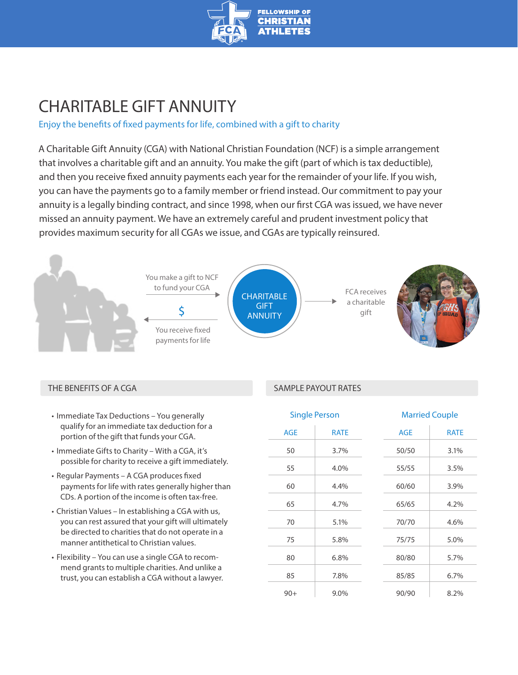

# CHARITABLE GIFT ANNUITY

## Enjoy the benefits of fixed payments for life, combined with a gift to charity

A Charitable Gift Annuity (CGA) with National Christian Foundation (NCF) is a simple arrangement that involves a charitable gift and an annuity. You make the gift (part of which is tax deductible), and then you receive fixed annuity payments each year for the remainder of your life. If you wish, you can have the payments go to a family member or friend instead. Our commitment to pay your annuity is a legally binding contract, and since 1998, when our first CGA was issued, we have never missed an annuity payment. We have an extremely careful and prudent investment policy that provides maximum security for all CGAs we issue, and CGAs are typically reinsured.



### THE BENEFITS OF A CGA SAMPLE PAYOUT RATES

- Immediate Tax Deductions You generally qualify for an immediate tax deduction for a portion of the gift that funds your CGA.
- Immediate Gifts to Charity With a CGA, it's possible for charity to receive a gift immediately.
- Regular Payments A CGA produces fixed payments for life with rates generally higher than CDs. A portion of the income is often tax-free.
- Christian Values In establishing a CGA with us, you can rest assured that your gift will ultimately be directed to charities that do not operate in a manner antithetical to Christian values.
- Flexibility You can use a single CGA to recommend grants to multiple charities. And unlike a trust, you can establish a CGA without a lawyer.

| <b>Single Person</b> |             |            | <b>Married Couple</b> |  |
|----------------------|-------------|------------|-----------------------|--|
| <b>AGE</b>           | <b>RATE</b> | <b>AGE</b> | <b>RATE</b>           |  |
| 50                   | 3.7%        | 50/50      | 3.1%                  |  |
| 55                   | 4.0%        | 55/55      | 3.5%                  |  |
| 60                   | 4.4%        | 60/60      | 3.9%                  |  |
| 65                   | 4.7%        | 65/65      | 4.2%                  |  |
| 70                   | 5.1%        | 70/70      | 4.6%                  |  |
| 75                   | 5.8%        | 75/75      | 5.0%                  |  |
| 80                   | 6.8%        | 80/80      | 5.7%                  |  |
| 85                   | 7.8%        | 85/85      | 6.7%                  |  |
| $90+$                | 9.0%        | 90/90      | 8.2%                  |  |